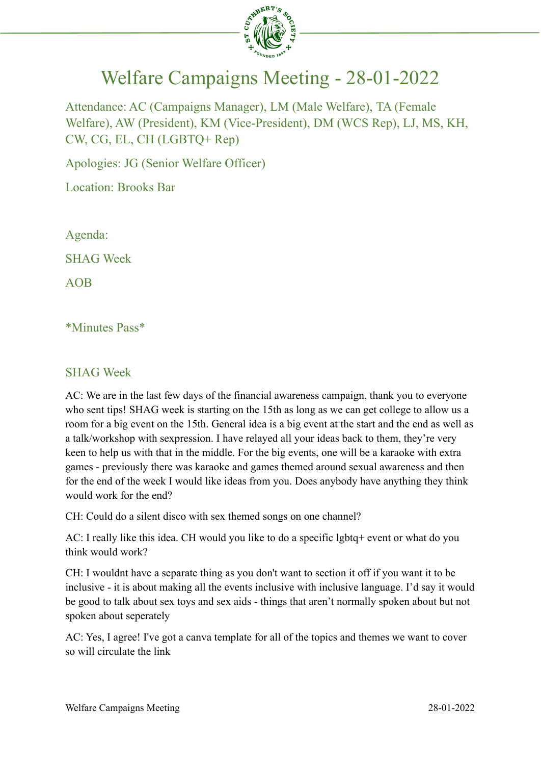

## Welfare Campaigns Meeting - 28-01-2022

Attendance: AC (Campaigns Manager), LM (Male Welfare), TA (Female Welfare), AW (President), KM (Vice-President), DM (WCS Rep), LJ, MS, KH, CW, CG, EL, CH (LGBTQ+ Rep)

Apologies: JG (Senior Welfare Officer)

Location: Brooks Bar

Agenda:

SHAG Week

AOB

\*Minutes Pass\*

## SHAG Week

AC: We are in the last few days of the financial awareness campaign, thank you to everyone who sent tips! SHAG week is starting on the 15th as long as we can get college to allow us a room for a big event on the 15th. General idea is a big event at the start and the end as well as a talk/workshop with sexpression. I have relayed all your ideas back to them, they're very keen to help us with that in the middle. For the big events, one will be a karaoke with extra games - previously there was karaoke and games themed around sexual awareness and then for the end of the week I would like ideas from you. Does anybody have anything they think would work for the end?

CH: Could do a silent disco with sex themed songs on one channel?

AC: I really like this idea. CH would you like to do a specific lgbtq+ event or what do you think would work?

CH: I wouldnt have a separate thing as you don't want to section it off if you want it to be inclusive - it is about making all the events inclusive with inclusive language. I'd say it would be good to talk about sex toys and sex aids - things that aren't normally spoken about but not spoken about seperately

AC: Yes, I agree! I've got a canva template for all of the topics and themes we want to cover so will circulate the link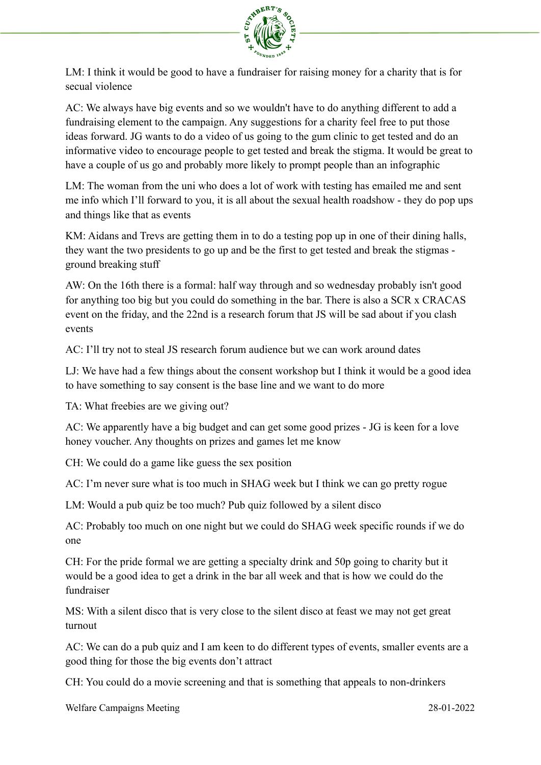

LM: I think it would be good to have a fundraiser for raising money for a charity that is for secual violence

AC: We always have big events and so we wouldn't have to do anything different to add a fundraising element to the campaign. Any suggestions for a charity feel free to put those ideas forward. JG wants to do a video of us going to the gum clinic to get tested and do an informative video to encourage people to get tested and break the stigma. It would be great to have a couple of us go and probably more likely to prompt people than an infographic

LM: The woman from the uni who does a lot of work with testing has emailed me and sent me info which I'll forward to you, it is all about the sexual health roadshow - they do pop ups and things like that as events

KM: Aidans and Trevs are getting them in to do a testing pop up in one of their dining halls, they want the two presidents to go up and be the first to get tested and break the stigmas ground breaking stuff

AW: On the 16th there is a formal: half way through and so wednesday probably isn't good for anything too big but you could do something in the bar. There is also a SCR x CRACAS event on the friday, and the 22nd is a research forum that JS will be sad about if you clash events

AC: I'll try not to steal JS research forum audience but we can work around dates

LJ: We have had a few things about the consent workshop but I think it would be a good idea to have something to say consent is the base line and we want to do more

TA: What freebies are we giving out?

AC: We apparently have a big budget and can get some good prizes - JG is keen for a love honey voucher. Any thoughts on prizes and games let me know

CH: We could do a game like guess the sex position

AC: I'm never sure what is too much in SHAG week but I think we can go pretty rogue

LM: Would a pub quiz be too much? Pub quiz followed by a silent disco

AC: Probably too much on one night but we could do SHAG week specific rounds if we do one

CH: For the pride formal we are getting a specialty drink and 50p going to charity but it would be a good idea to get a drink in the bar all week and that is how we could do the fundraiser

MS: With a silent disco that is very close to the silent disco at feast we may not get great turnout

AC: We can do a pub quiz and I am keen to do different types of events, smaller events are a good thing for those the big events don't attract

CH: You could do a movie screening and that is something that appeals to non-drinkers

Welfare Campaigns Meeting 28-01-2022